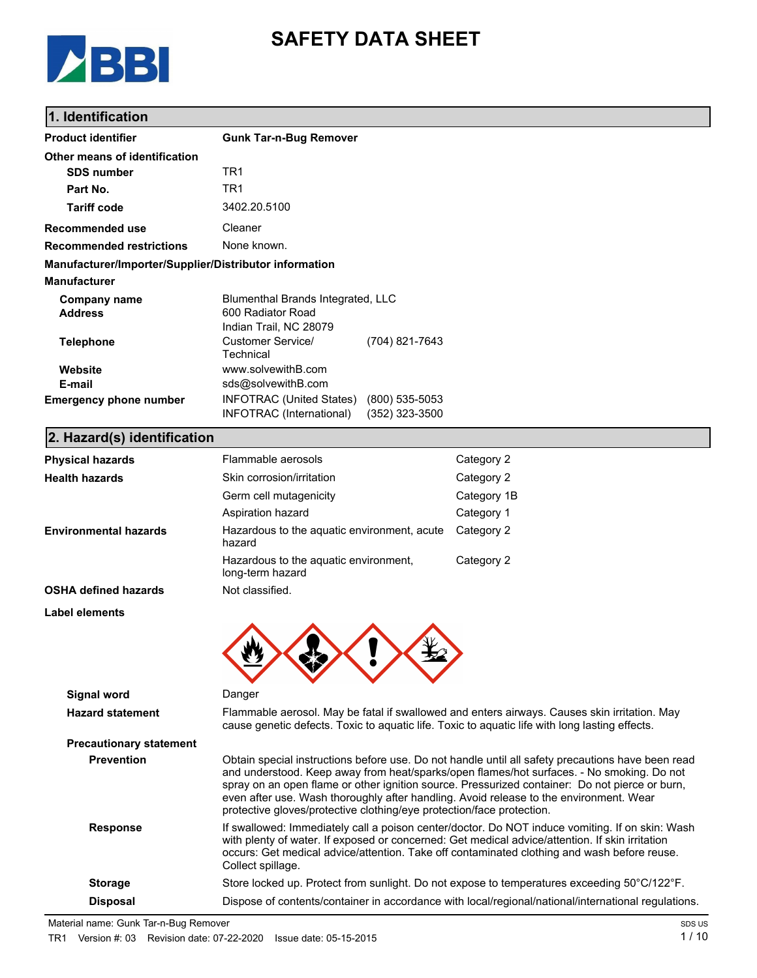

# **SAFETY DATA SHEET**

### **1. Identification**

| <b>Product identifier</b>                              | <b>Gunk Tar-n-Bug Remover</b>                                                     |                                    |  |
|--------------------------------------------------------|-----------------------------------------------------------------------------------|------------------------------------|--|
| Other means of identification                          |                                                                                   |                                    |  |
| <b>SDS number</b>                                      | TR1                                                                               |                                    |  |
| Part No.                                               | TR1                                                                               |                                    |  |
| <b>Tariff code</b>                                     | 3402.20.5100                                                                      |                                    |  |
| <b>Recommended use</b>                                 | Cleaner                                                                           |                                    |  |
| <b>Recommended restrictions</b>                        | None known.                                                                       |                                    |  |
| Manufacturer/Importer/Supplier/Distributor information |                                                                                   |                                    |  |
| <b>Manufacturer</b>                                    |                                                                                   |                                    |  |
| Company name<br><b>Address</b>                         | Blumenthal Brands Integrated, LLC<br>600 Radiator Road<br>Indian Trail, NC 28079  |                                    |  |
| <b>Telephone</b>                                       | Customer Service/<br>Technical                                                    | (704) 821-7643                     |  |
| Website                                                | www.solvewithB.com                                                                |                                    |  |
| E-mail<br><b>Emergency phone number</b>                | sds@solvewithB.com<br><b>INFOTRAC (United States)</b><br>INFOTRAC (International) | $(800)$ 535-5053<br>(352) 323-3500 |  |

### **2. Hazard(s) identification**

| <b>Physical hazards</b>                       | Flammable aerosols                                                                                                                                                                                                                                                                                                                                                                                                                                                  | Category 2                                                                                                                                                                                     |  |
|-----------------------------------------------|---------------------------------------------------------------------------------------------------------------------------------------------------------------------------------------------------------------------------------------------------------------------------------------------------------------------------------------------------------------------------------------------------------------------------------------------------------------------|------------------------------------------------------------------------------------------------------------------------------------------------------------------------------------------------|--|
| <b>Health hazards</b>                         | Skin corrosion/irritation                                                                                                                                                                                                                                                                                                                                                                                                                                           | Category 2                                                                                                                                                                                     |  |
|                                               | Germ cell mutagenicity                                                                                                                                                                                                                                                                                                                                                                                                                                              | Category 1B                                                                                                                                                                                    |  |
|                                               | Aspiration hazard                                                                                                                                                                                                                                                                                                                                                                                                                                                   | Category 1                                                                                                                                                                                     |  |
| <b>Environmental hazards</b>                  | Hazardous to the aquatic environment, acute<br>hazard                                                                                                                                                                                                                                                                                                                                                                                                               | Category 2                                                                                                                                                                                     |  |
|                                               | Hazardous to the aquatic environment,<br>long-term hazard                                                                                                                                                                                                                                                                                                                                                                                                           | Category 2                                                                                                                                                                                     |  |
| <b>OSHA defined hazards</b>                   | Not classified.                                                                                                                                                                                                                                                                                                                                                                                                                                                     |                                                                                                                                                                                                |  |
| Label elements                                |                                                                                                                                                                                                                                                                                                                                                                                                                                                                     |                                                                                                                                                                                                |  |
| <b>Signal word</b><br><b>Hazard statement</b> | Danger<br>cause genetic defects. Toxic to aquatic life. Toxic to aquatic life with long lasting effects.                                                                                                                                                                                                                                                                                                                                                            | Flammable aerosol. May be fatal if swallowed and enters airways. Causes skin irritation. May                                                                                                   |  |
| <b>Precautionary statement</b>                |                                                                                                                                                                                                                                                                                                                                                                                                                                                                     |                                                                                                                                                                                                |  |
| <b>Prevention</b>                             | Obtain special instructions before use. Do not handle until all safety precautions have been read<br>and understood. Keep away from heat/sparks/open flames/hot surfaces. - No smoking. Do not<br>spray on an open flame or other ignition source. Pressurized container: Do not pierce or burn,<br>even after use. Wash thoroughly after handling. Avoid release to the environment. Wear<br>protective gloves/protective clothing/eye protection/face protection. |                                                                                                                                                                                                |  |
| <b>Response</b>                               | with plenty of water. If exposed or concerned: Get medical advice/attention. If skin irritation<br>Collect spillage.                                                                                                                                                                                                                                                                                                                                                | If swallowed: Immediately call a poison center/doctor. Do NOT induce vomiting. If on skin: Wash<br>occurs: Get medical advice/attention. Take off contaminated clothing and wash before reuse. |  |
| <b>Storage</b>                                |                                                                                                                                                                                                                                                                                                                                                                                                                                                                     | Store locked up. Protect from sunlight. Do not expose to temperatures exceeding 50°C/122°F.                                                                                                    |  |
| <b>Disposal</b>                               | Dispose of contents/container in accordance with local/regional/national/international regulations.                                                                                                                                                                                                                                                                                                                                                                 |                                                                                                                                                                                                |  |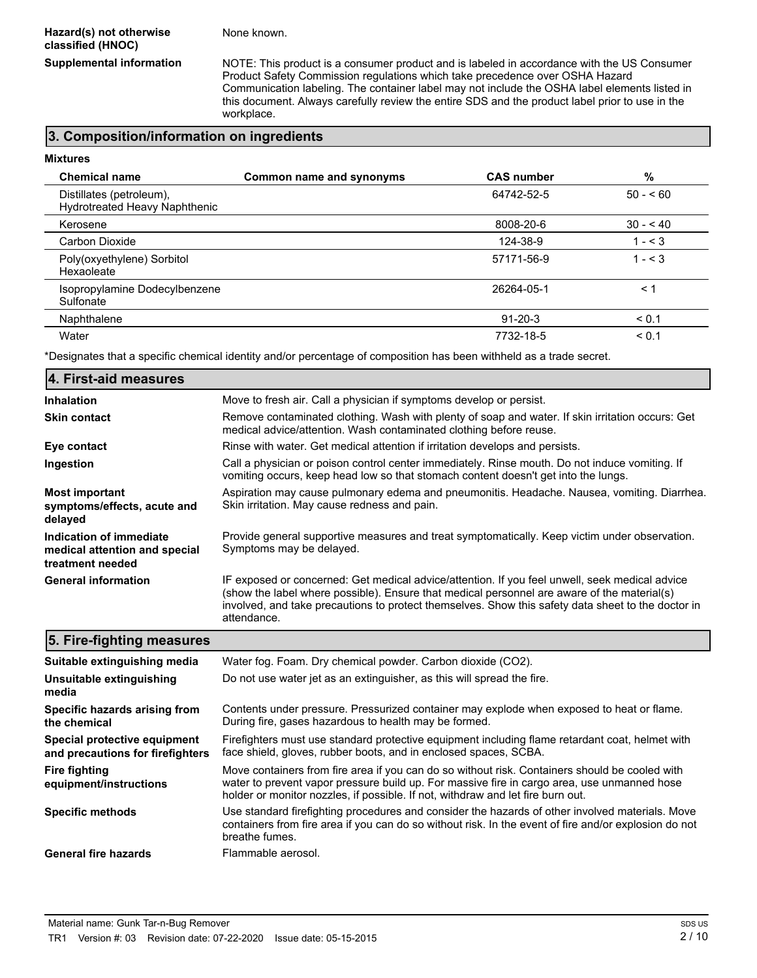None known.

**Supplemental information** NOTE: This product is a consumer product and is labeled in accordance with the US Consumer Product Safety Commission regulations which take precedence over OSHA Hazard Communication labeling. The container label may not include the OSHA label elements listed in this document. Always carefully review the entire SDS and the product label prior to use in the workplace.

### **3. Composition/information on ingredients**

| <b>Mixtures</b>                                           |                          |                   |           |
|-----------------------------------------------------------|--------------------------|-------------------|-----------|
| <b>Chemical name</b>                                      | Common name and synonyms | <b>CAS number</b> | %         |
| Distillates (petroleum),<br>Hydrotreated Heavy Naphthenic |                          | 64742-52-5        | $50 - 60$ |
| Kerosene                                                  |                          | 8008-20-6         | $30 - 40$ |
| Carbon Dioxide                                            |                          | 124-38-9          | $1 - 3$   |
| Poly(oxyethylene) Sorbitol<br>Hexaoleate                  |                          | 57171-56-9        | $1 - 3$   |
| Isopropylamine Dodecylbenzene<br>Sulfonate                |                          | 26264-05-1        | < 1       |
| Naphthalene                                               |                          | $91 - 20 - 3$     | < 0.1     |
| Water                                                     |                          | 7732-18-5         | < 0.1     |

\*Designates that a specific chemical identity and/or percentage of composition has been withheld as a trade secret.

| 4. First-aid measures                                                        |                                                                                                                                                                                                                                                                                                                    |
|------------------------------------------------------------------------------|--------------------------------------------------------------------------------------------------------------------------------------------------------------------------------------------------------------------------------------------------------------------------------------------------------------------|
| <b>Inhalation</b>                                                            | Move to fresh air. Call a physician if symptoms develop or persist.                                                                                                                                                                                                                                                |
| <b>Skin contact</b>                                                          | Remove contaminated clothing. Wash with plenty of soap and water. If skin irritation occurs: Get<br>medical advice/attention. Wash contaminated clothing before reuse.                                                                                                                                             |
| Eye contact                                                                  | Rinse with water. Get medical attention if irritation develops and persists.                                                                                                                                                                                                                                       |
| Ingestion                                                                    | Call a physician or poison control center immediately. Rinse mouth. Do not induce vomiting. If<br>vomiting occurs, keep head low so that stomach content doesn't get into the lungs.                                                                                                                               |
| <b>Most important</b><br>symptoms/effects, acute and<br>delayed              | Aspiration may cause pulmonary edema and pneumonitis. Headache. Nausea, vomiting. Diarrhea.<br>Skin irritation. May cause redness and pain.                                                                                                                                                                        |
| Indication of immediate<br>medical attention and special<br>treatment needed | Provide general supportive measures and treat symptomatically. Keep victim under observation.<br>Symptoms may be delayed.                                                                                                                                                                                          |
| <b>General information</b>                                                   | IF exposed or concerned: Get medical advice/attention. If you feel unwell, seek medical advice<br>(show the label where possible). Ensure that medical personnel are aware of the material(s)<br>involved, and take precautions to protect themselves. Show this safety data sheet to the doctor in<br>attendance. |
| 5. Fire-fighting measures                                                    |                                                                                                                                                                                                                                                                                                                    |

| Suitable extinguishing media                                     | Water fog. Foam. Dry chemical powder. Carbon dioxide (CO2).                                                                                                                                                                                                                      |  |
|------------------------------------------------------------------|----------------------------------------------------------------------------------------------------------------------------------------------------------------------------------------------------------------------------------------------------------------------------------|--|
| Unsuitable extinguishing<br>media                                | Do not use water jet as an extinguisher, as this will spread the fire.                                                                                                                                                                                                           |  |
| Specific hazards arising from<br>the chemical                    | Contents under pressure. Pressurized container may explode when exposed to heat or flame.<br>During fire, gases hazardous to health may be formed.                                                                                                                               |  |
| Special protective equipment<br>and precautions for firefighters | Firefighters must use standard protective equipment including flame retardant coat, helmet with<br>face shield, gloves, rubber boots, and in enclosed spaces, SCBA.                                                                                                              |  |
| <b>Fire fighting</b><br>equipment/instructions                   | Move containers from fire area if you can do so without risk. Containers should be cooled with<br>water to prevent vapor pressure build up. For massive fire in cargo area, use unmanned hose<br>holder or monitor nozzles, if possible. If not, withdraw and let fire burn out. |  |
| <b>Specific methods</b>                                          | Use standard firefighting procedures and consider the hazards of other involved materials. Move<br>containers from fire area if you can do so without risk. In the event of fire and/or explosion do not<br>breathe fumes.                                                       |  |
| <b>General fire hazards</b>                                      | Flammable aerosol.                                                                                                                                                                                                                                                               |  |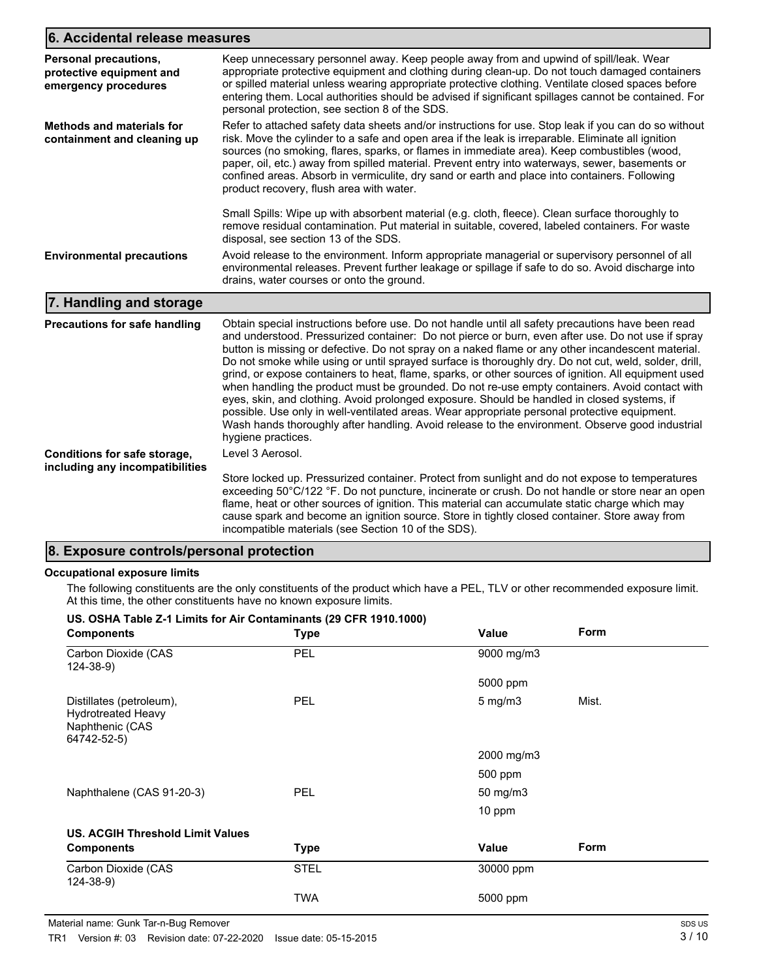## **6. Accidental release measures**

| s. Accidental Telegge Inegguies                                                  |                                                                                                                                                                                                                                                                                                                                                                                                                                                                                                                                                                                                                                                                                                                                                                                                                                                                                                                                                        |
|----------------------------------------------------------------------------------|--------------------------------------------------------------------------------------------------------------------------------------------------------------------------------------------------------------------------------------------------------------------------------------------------------------------------------------------------------------------------------------------------------------------------------------------------------------------------------------------------------------------------------------------------------------------------------------------------------------------------------------------------------------------------------------------------------------------------------------------------------------------------------------------------------------------------------------------------------------------------------------------------------------------------------------------------------|
| <b>Personal precautions,</b><br>protective equipment and<br>emergency procedures | Keep unnecessary personnel away. Keep people away from and upwind of spill/leak. Wear<br>appropriate protective equipment and clothing during clean-up. Do not touch damaged containers<br>or spilled material unless wearing appropriate protective clothing. Ventilate closed spaces before<br>entering them. Local authorities should be advised if significant spillages cannot be contained. For<br>personal protection, see section 8 of the SDS.                                                                                                                                                                                                                                                                                                                                                                                                                                                                                                |
| <b>Methods and materials for</b><br>containment and cleaning up                  | Refer to attached safety data sheets and/or instructions for use. Stop leak if you can do so without<br>risk. Move the cylinder to a safe and open area if the leak is irreparable. Eliminate all ignition<br>sources (no smoking, flares, sparks, or flames in immediate area). Keep combustibles (wood,<br>paper, oil, etc.) away from spilled material. Prevent entry into waterways, sewer, basements or<br>confined areas. Absorb in vermiculite, dry sand or earth and place into containers. Following<br>product recovery, flush area with water.                                                                                                                                                                                                                                                                                                                                                                                              |
|                                                                                  | Small Spills: Wipe up with absorbent material (e.g. cloth, fleece). Clean surface thoroughly to<br>remove residual contamination. Put material in suitable, covered, labeled containers. For waste<br>disposal, see section 13 of the SDS.                                                                                                                                                                                                                                                                                                                                                                                                                                                                                                                                                                                                                                                                                                             |
| <b>Environmental precautions</b>                                                 | Avoid release to the environment. Inform appropriate managerial or supervisory personnel of all<br>environmental releases. Prevent further leakage or spillage if safe to do so. Avoid discharge into<br>drains, water courses or onto the ground.                                                                                                                                                                                                                                                                                                                                                                                                                                                                                                                                                                                                                                                                                                     |
| 7. Handling and storage                                                          |                                                                                                                                                                                                                                                                                                                                                                                                                                                                                                                                                                                                                                                                                                                                                                                                                                                                                                                                                        |
| Precautions for safe handling                                                    | Obtain special instructions before use. Do not handle until all safety precautions have been read<br>and understood. Pressurized container: Do not pierce or burn, even after use. Do not use if spray<br>button is missing or defective. Do not spray on a naked flame or any other incandescent material.<br>Do not smoke while using or until sprayed surface is thoroughly dry. Do not cut, weld, solder, drill,<br>grind, or expose containers to heat, flame, sparks, or other sources of ignition. All equipment used<br>when handling the product must be grounded. Do not re-use empty containers. Avoid contact with<br>eyes, skin, and clothing. Avoid prolonged exposure. Should be handled in closed systems, if<br>possible. Use only in well-ventilated areas. Wear appropriate personal protective equipment.<br>Wash hands thoroughly after handling. Avoid release to the environment. Observe good industrial<br>hygiene practices. |
| Conditions for safe storage,<br>including any incompatibilities                  | Level 3 Aerosol.<br>Store locked up. Pressurized container. Protect from sunlight and do not expose to temperatures<br>exceeding 50°C/122 °F. Do not puncture, incinerate or crush. Do not handle or store near an open<br>flame, heat or other sources of ignition. This material can accumulate static charge which may<br>cause spark and become an ignition source. Store in tightly closed container. Store away from<br>incompatible materials (see Section 10 of the SDS).                                                                                                                                                                                                                                                                                                                                                                                                                                                                      |

### **8. Exposure controls/personal protection**

#### **Occupational exposure limits**

The following constituents are the only constituents of the product which have a PEL, TLV or other recommended exposure limit. At this time, the other constituents have no known exposure limits.

| US. OSHA Table Z-1 Limits for Air Contaminants (29 CFR 1910.1000)                       |             |                     |       |  |
|-----------------------------------------------------------------------------------------|-------------|---------------------|-------|--|
| <b>Components</b>                                                                       | <b>Type</b> | Value               | Form  |  |
| Carbon Dioxide (CAS<br>$124 - 38 - 9$                                                   | <b>PEL</b>  | 9000 mg/m3          |       |  |
|                                                                                         |             | 5000 ppm            |       |  |
| Distillates (petroleum),<br><b>Hydrotreated Heavy</b><br>Naphthenic (CAS<br>64742-52-5) | <b>PEL</b>  | $5 \text{ mg/m}$    | Mist. |  |
|                                                                                         |             | 2000 mg/m3          |       |  |
|                                                                                         |             | 500 ppm             |       |  |
| Naphthalene (CAS 91-20-3)                                                               | <b>PEL</b>  | $50 \text{ mg/m}$ 3 |       |  |
|                                                                                         |             | 10 ppm              |       |  |
| <b>US. ACGIH Threshold Limit Values</b>                                                 |             |                     |       |  |
| <b>Components</b>                                                                       | <b>Type</b> | Value               | Form  |  |
| Carbon Dioxide (CAS<br>$124 - 38 - 9$                                                   | <b>STEL</b> | 30000 ppm           |       |  |
|                                                                                         | <b>TWA</b>  | 5000 ppm            |       |  |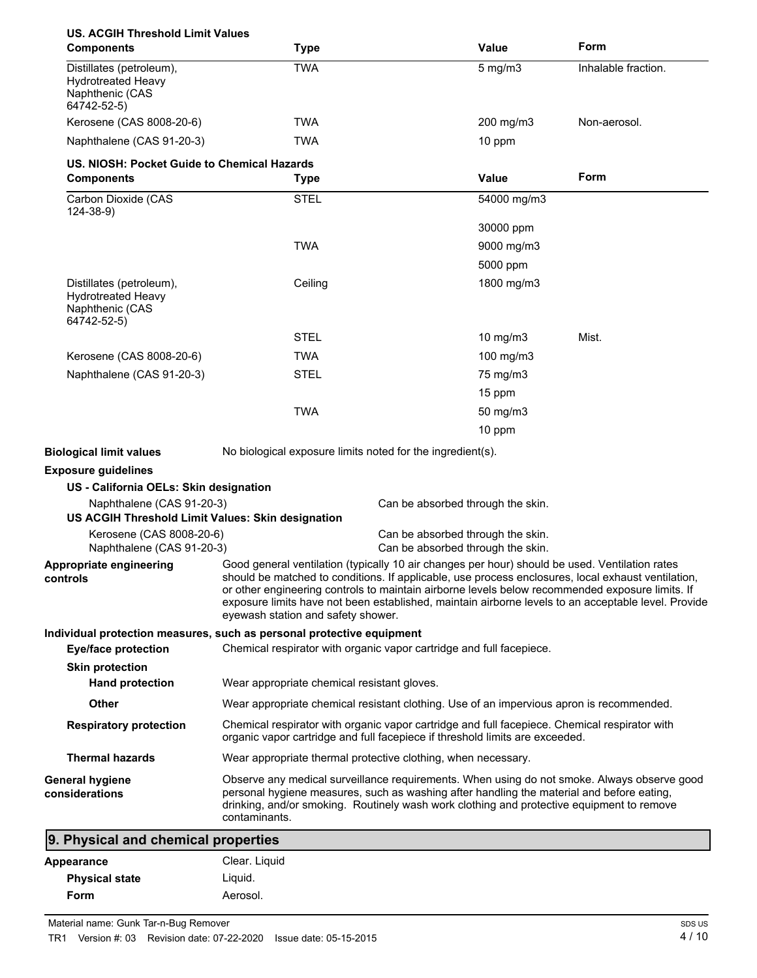| <b>US. ACGIH Threshold Limit Values</b><br><b>Components</b>                            | <b>Type</b>                                                                                                                                                                                                                                                                                                                                                                                                                                          | <b>Value</b>                                                                                                                                                                  | Form                |
|-----------------------------------------------------------------------------------------|------------------------------------------------------------------------------------------------------------------------------------------------------------------------------------------------------------------------------------------------------------------------------------------------------------------------------------------------------------------------------------------------------------------------------------------------------|-------------------------------------------------------------------------------------------------------------------------------------------------------------------------------|---------------------|
| Distillates (petroleum),<br><b>Hydrotreated Heavy</b><br>Naphthenic (CAS<br>64742-52-5) | <b>TWA</b>                                                                                                                                                                                                                                                                                                                                                                                                                                           | $5$ mg/m $3$                                                                                                                                                                  | Inhalable fraction. |
| Kerosene (CAS 8008-20-6)                                                                | TWA                                                                                                                                                                                                                                                                                                                                                                                                                                                  | 200 mg/m3                                                                                                                                                                     | Non-aerosol.        |
| Naphthalene (CAS 91-20-3)                                                               | <b>TWA</b>                                                                                                                                                                                                                                                                                                                                                                                                                                           | 10 ppm                                                                                                                                                                        |                     |
| US. NIOSH: Pocket Guide to Chemical Hazards<br><b>Components</b>                        |                                                                                                                                                                                                                                                                                                                                                                                                                                                      | Value                                                                                                                                                                         | Form                |
| Carbon Dioxide (CAS                                                                     | <b>Type</b><br><b>STEL</b>                                                                                                                                                                                                                                                                                                                                                                                                                           | 54000 mg/m3                                                                                                                                                                   |                     |
| 124-38-9)                                                                               |                                                                                                                                                                                                                                                                                                                                                                                                                                                      |                                                                                                                                                                               |                     |
|                                                                                         |                                                                                                                                                                                                                                                                                                                                                                                                                                                      | 30000 ppm                                                                                                                                                                     |                     |
|                                                                                         | <b>TWA</b>                                                                                                                                                                                                                                                                                                                                                                                                                                           | 9000 mg/m3                                                                                                                                                                    |                     |
|                                                                                         |                                                                                                                                                                                                                                                                                                                                                                                                                                                      | 5000 ppm                                                                                                                                                                      |                     |
| Distillates (petroleum),<br><b>Hydrotreated Heavy</b><br>Naphthenic (CAS<br>64742-52-5) | Ceiling                                                                                                                                                                                                                                                                                                                                                                                                                                              | 1800 mg/m3                                                                                                                                                                    |                     |
|                                                                                         | <b>STEL</b>                                                                                                                                                                                                                                                                                                                                                                                                                                          | 10 mg/m3                                                                                                                                                                      | Mist.               |
| Kerosene (CAS 8008-20-6)                                                                | <b>TWA</b>                                                                                                                                                                                                                                                                                                                                                                                                                                           | 100 mg/m $3$                                                                                                                                                                  |                     |
| Naphthalene (CAS 91-20-3)                                                               | <b>STEL</b>                                                                                                                                                                                                                                                                                                                                                                                                                                          | 75 mg/m3                                                                                                                                                                      |                     |
|                                                                                         |                                                                                                                                                                                                                                                                                                                                                                                                                                                      | 15 ppm                                                                                                                                                                        |                     |
|                                                                                         | <b>TWA</b>                                                                                                                                                                                                                                                                                                                                                                                                                                           | $50$ mg/m $3$                                                                                                                                                                 |                     |
|                                                                                         |                                                                                                                                                                                                                                                                                                                                                                                                                                                      | 10 ppm                                                                                                                                                                        |                     |
| <b>Biological limit values</b>                                                          | No biological exposure limits noted for the ingredient(s).                                                                                                                                                                                                                                                                                                                                                                                           |                                                                                                                                                                               |                     |
| <b>Exposure guidelines</b>                                                              |                                                                                                                                                                                                                                                                                                                                                                                                                                                      |                                                                                                                                                                               |                     |
| US - California OELs: Skin designation                                                  |                                                                                                                                                                                                                                                                                                                                                                                                                                                      |                                                                                                                                                                               |                     |
| Naphthalene (CAS 91-20-3)<br>US ACGIH Threshold Limit Values: Skin designation          |                                                                                                                                                                                                                                                                                                                                                                                                                                                      | Can be absorbed through the skin.                                                                                                                                             |                     |
| Kerosene (CAS 8008-20-6)<br>Naphthalene (CAS 91-20-3)                                   |                                                                                                                                                                                                                                                                                                                                                                                                                                                      | Can be absorbed through the skin.<br>Can be absorbed through the skin.                                                                                                        |                     |
| Appropriate engineering<br>controls                                                     | Good general ventilation (typically 10 air changes per hour) should be used. Ventilation rates<br>should be matched to conditions. If applicable, use process enclosures, local exhaust ventilation,<br>or other engineering controls to maintain airborne levels below recommended exposure limits. If<br>exposure limits have not been established, maintain airborne levels to an acceptable level. Provide<br>eyewash station and safety shower. |                                                                                                                                                                               |                     |
| Individual protection measures, such as personal protective equipment                   |                                                                                                                                                                                                                                                                                                                                                                                                                                                      |                                                                                                                                                                               |                     |
| <b>Eye/face protection</b>                                                              |                                                                                                                                                                                                                                                                                                                                                                                                                                                      | Chemical respirator with organic vapor cartridge and full facepiece.                                                                                                          |                     |
| <b>Skin protection</b><br><b>Hand protection</b>                                        | Wear appropriate chemical resistant gloves.                                                                                                                                                                                                                                                                                                                                                                                                          |                                                                                                                                                                               |                     |
| Other                                                                                   |                                                                                                                                                                                                                                                                                                                                                                                                                                                      | Wear appropriate chemical resistant clothing. Use of an impervious apron is recommended.                                                                                      |                     |
| <b>Respiratory protection</b>                                                           |                                                                                                                                                                                                                                                                                                                                                                                                                                                      | Chemical respirator with organic vapor cartridge and full facepiece. Chemical respirator with<br>organic vapor cartridge and full facepiece if threshold limits are exceeded. |                     |
| <b>Thermal hazards</b>                                                                  |                                                                                                                                                                                                                                                                                                                                                                                                                                                      | Wear appropriate thermal protective clothing, when necessary.                                                                                                                 |                     |
| <b>General hygiene</b><br>considerations                                                | Observe any medical surveillance requirements. When using do not smoke. Always observe good<br>personal hygiene measures, such as washing after handling the material and before eating,<br>drinking, and/or smoking. Routinely wash work clothing and protective equipment to remove<br>contaminants.                                                                                                                                               |                                                                                                                                                                               |                     |
| 9. Physical and chemical properties                                                     |                                                                                                                                                                                                                                                                                                                                                                                                                                                      |                                                                                                                                                                               |                     |
| Appearance                                                                              | Clear. Liquid                                                                                                                                                                                                                                                                                                                                                                                                                                        |                                                                                                                                                                               |                     |
| <b>Physical state</b>                                                                   | Liquid.                                                                                                                                                                                                                                                                                                                                                                                                                                              |                                                                                                                                                                               |                     |

Form **Aerosol.**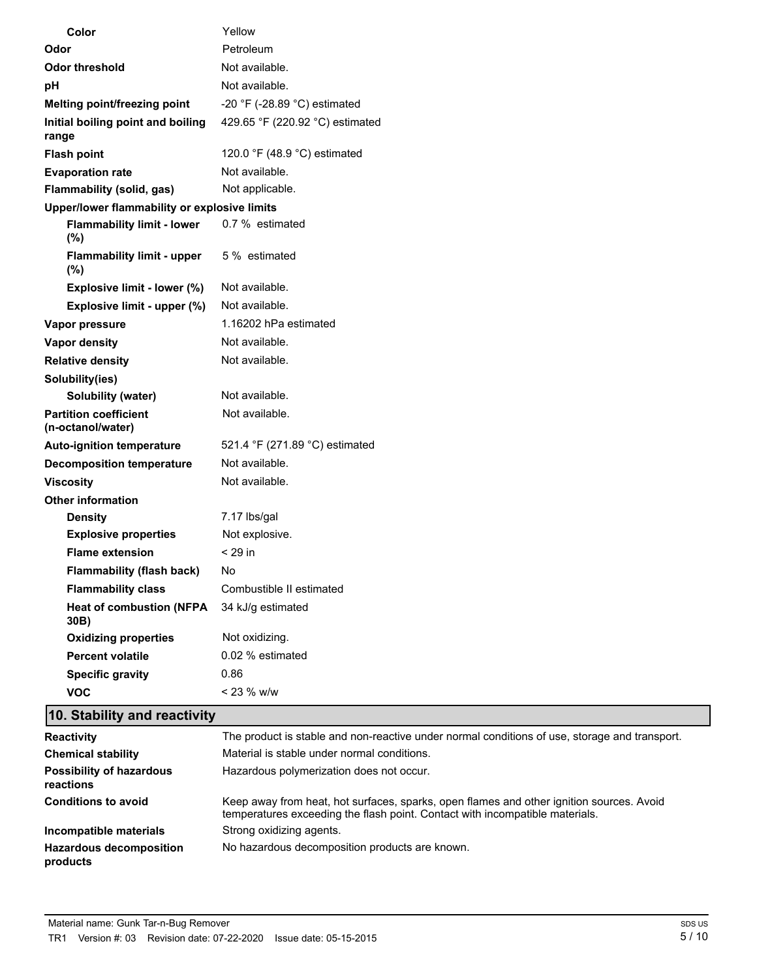| Color                                             | Yellow                          |
|---------------------------------------------------|---------------------------------|
| Odor                                              | Petroleum                       |
| <b>Odor threshold</b>                             | Not available.                  |
| рH                                                | Not available.                  |
| Melting point/freezing point                      | -20 °F (-28.89 °C) estimated    |
| Initial boiling point and boiling<br>range        | 429.65 °F (220.92 °C) estimated |
| <b>Flash point</b>                                | 120.0 °F (48.9 °C) estimated    |
| <b>Evaporation rate</b>                           | Not available.                  |
| Flammability (solid, gas)                         | Not applicable.                 |
| Upper/lower flammability or explosive limits      |                                 |
| <b>Flammability limit - lower</b><br>$(\%)$       | 0.7 % estimated                 |
| <b>Flammability limit - upper</b><br>$(\% )$      | 5 % estimated                   |
| Explosive limit - lower (%)                       | Not available.                  |
| Explosive limit - upper (%)                       | Not available.                  |
| Vapor pressure                                    | 1.16202 hPa estimated           |
| <b>Vapor density</b>                              | Not available.                  |
| <b>Relative density</b>                           | Not available.                  |
| Solubility(ies)                                   |                                 |
| Solubility (water)                                | Not available.                  |
| <b>Partition coefficient</b><br>(n-octanol/water) | Not available.                  |
| <b>Auto-ignition temperature</b>                  | 521.4 °F (271.89 °C) estimated  |
| <b>Decomposition temperature</b>                  | Not available.                  |
| <b>Viscosity</b>                                  | Not available.                  |
| <b>Other information</b>                          |                                 |
| <b>Density</b>                                    | 7.17 lbs/gal                    |
| <b>Explosive properties</b>                       | Not explosive.                  |
| <b>Flame extension</b>                            | $<$ 29 in                       |
| <b>Flammability (flash back)</b>                  | No                              |
| <b>Flammability class</b>                         | Combustible II estimated        |
| <b>Heat of combustion (NFPA</b><br>30B)           | 34 kJ/g estimated               |
| <b>Oxidizing properties</b>                       | Not oxidizing.                  |
| <b>Percent volatile</b>                           | 0.02 % estimated                |
| <b>Specific gravity</b>                           | 0.86                            |
| <b>VOC</b>                                        | < 23 % w/w                      |

# **10. Stability and reactivity**

| <b>Reactivity</b>                            | The product is stable and non-reactive under normal conditions of use, storage and transport.                                                                            |
|----------------------------------------------|--------------------------------------------------------------------------------------------------------------------------------------------------------------------------|
| <b>Chemical stability</b>                    | Material is stable under normal conditions.                                                                                                                              |
| <b>Possibility of hazardous</b><br>reactions | Hazardous polymerization does not occur.                                                                                                                                 |
| <b>Conditions to avoid</b>                   | Keep away from heat, hot surfaces, sparks, open flames and other ignition sources. Avoid<br>temperatures exceeding the flash point. Contact with incompatible materials. |
| Incompatible materials                       | Strong oxidizing agents.                                                                                                                                                 |
| <b>Hazardous decomposition</b><br>products   | No hazardous decomposition products are known.                                                                                                                           |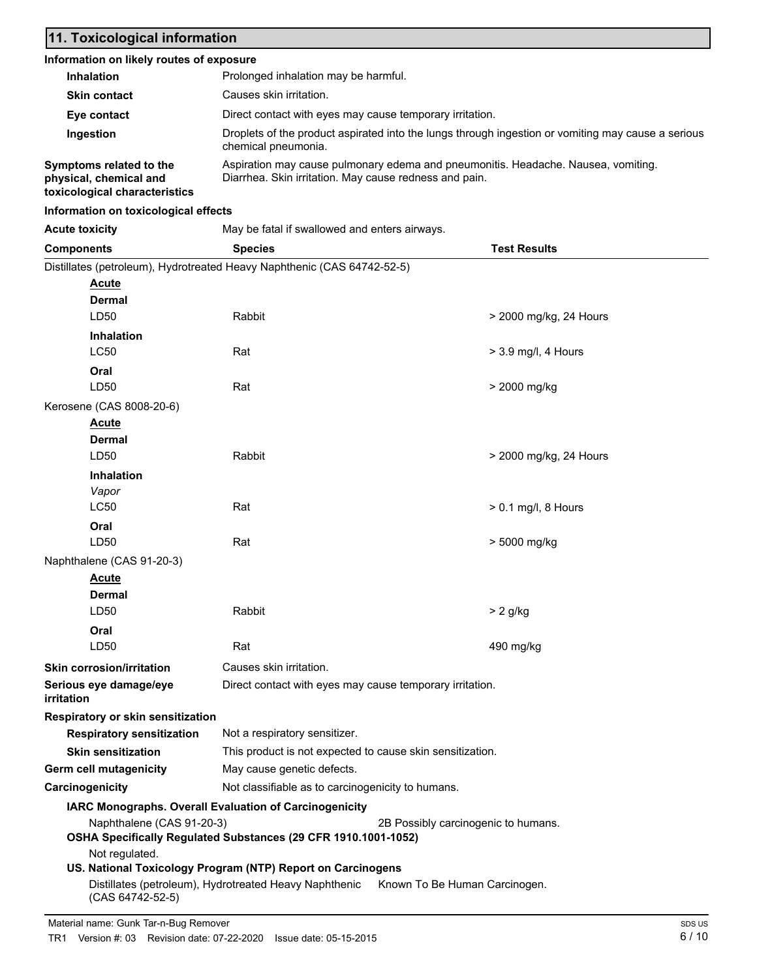# **11. Toxicological information**

#### **Information on likely routes of exposure**

| <b>Inhalation</b>                                 | Prolonged inhalation may be harmful.                                                                                                        |
|---------------------------------------------------|---------------------------------------------------------------------------------------------------------------------------------------------|
| <b>Skin contact</b>                               | Causes skin irritation.                                                                                                                     |
| Eye contact                                       | Direct contact with eyes may cause temporary irritation.                                                                                    |
| Ingestion                                         | Droplets of the product aspirated into the lungs through ingestion or vomiting may cause a serious<br>chemical pneumonia.                   |
| Symptoms related to the<br>physical, chemical and | Aspiration may cause pulmonary edema and pneumonitis. Headache. Nausea, vomiting.<br>Diarrhea. Skin irritation. May cause redness and pain. |

phy **toxicological characteristics**

### **Information on toxicological effects**

| <b>Acute toxicity</b>                                                   | May be fatal if swallowed and enters airways.            |                                                           |                        |  |  |
|-------------------------------------------------------------------------|----------------------------------------------------------|-----------------------------------------------------------|------------------------|--|--|
| <b>Components</b>                                                       | <b>Species</b>                                           |                                                           | <b>Test Results</b>    |  |  |
| Distillates (petroleum), Hydrotreated Heavy Naphthenic (CAS 64742-52-5) |                                                          |                                                           |                        |  |  |
| <u>Acute</u>                                                            |                                                          |                                                           |                        |  |  |
| <b>Dermal</b>                                                           |                                                          |                                                           |                        |  |  |
| LD50                                                                    | Rabbit                                                   |                                                           | > 2000 mg/kg, 24 Hours |  |  |
| <b>Inhalation</b>                                                       |                                                          |                                                           |                        |  |  |
| <b>LC50</b>                                                             | Rat                                                      |                                                           | $>$ 3.9 mg/l, 4 Hours  |  |  |
| Oral                                                                    |                                                          |                                                           |                        |  |  |
| LD50                                                                    | Rat                                                      |                                                           | > 2000 mg/kg           |  |  |
| Kerosene (CAS 8008-20-6)                                                |                                                          |                                                           |                        |  |  |
| <b>Acute</b>                                                            |                                                          |                                                           |                        |  |  |
| <b>Dermal</b>                                                           |                                                          |                                                           |                        |  |  |
| LD50                                                                    | Rabbit                                                   |                                                           | > 2000 mg/kg, 24 Hours |  |  |
| Inhalation                                                              |                                                          |                                                           |                        |  |  |
| Vapor                                                                   |                                                          |                                                           |                        |  |  |
| LC50                                                                    | Rat                                                      |                                                           | $> 0.1$ mg/l, 8 Hours  |  |  |
| Oral                                                                    |                                                          |                                                           |                        |  |  |
| LD50                                                                    | Rat                                                      |                                                           | > 5000 mg/kg           |  |  |
| Naphthalene (CAS 91-20-3)                                               |                                                          |                                                           |                        |  |  |
| <b>Acute</b>                                                            |                                                          |                                                           |                        |  |  |
| <b>Dermal</b>                                                           |                                                          |                                                           |                        |  |  |
| LD50                                                                    | Rabbit                                                   |                                                           | $> 2$ g/kg             |  |  |
| Oral                                                                    |                                                          |                                                           |                        |  |  |
| LD50                                                                    | Rat                                                      |                                                           | 490 mg/kg              |  |  |
| <b>Skin corrosion/irritation</b>                                        | Causes skin irritation.                                  |                                                           |                        |  |  |
| Serious eye damage/eye<br>irritation                                    | Direct contact with eyes may cause temporary irritation. |                                                           |                        |  |  |
| Respiratory or skin sensitization                                       |                                                          |                                                           |                        |  |  |
| <b>Respiratory sensitization</b>                                        | Not a respiratory sensitizer.                            |                                                           |                        |  |  |
| <b>Skin sensitization</b>                                               |                                                          | This product is not expected to cause skin sensitization. |                        |  |  |
| Germ cell mutagenicity                                                  | May cause genetic defects.                               |                                                           |                        |  |  |
| Carcinogenicity                                                         | Not classifiable as to carcinogenicity to humans.        |                                                           |                        |  |  |
|                                                                         | IARC Monographs. Overall Evaluation of Carcinogenicity   |                                                           |                        |  |  |
| Naphthalene (CAS 91-20-3)                                               |                                                          | 2B Possibly carcinogenic to humans.                       |                        |  |  |
| OSHA Specifically Regulated Substances (29 CFR 1910.1001-1052)          |                                                          |                                                           |                        |  |  |
| Not regulated.                                                          |                                                          |                                                           |                        |  |  |
| US. National Toxicology Program (NTP) Report on Carcinogens             |                                                          |                                                           |                        |  |  |
| (CAS 64742-52-5)                                                        | Distillates (petroleum), Hydrotreated Heavy Naphthenic   | Known To Be Human Carcinogen.                             |                        |  |  |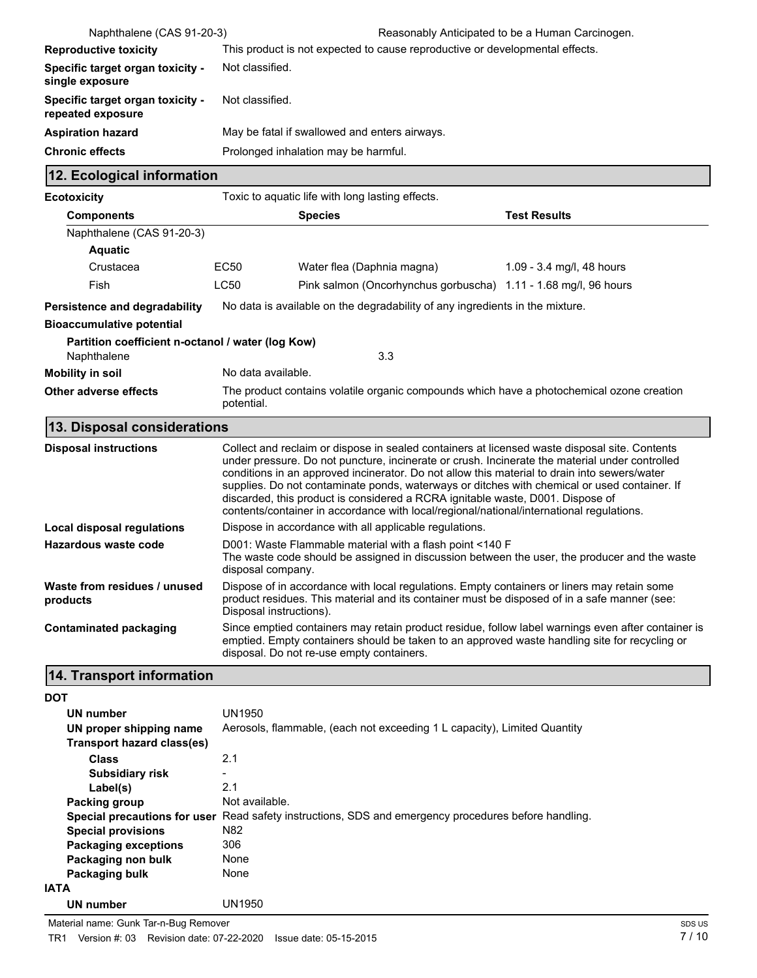| Naphthalene (CAS 91-20-3)                                        |                                                                                                                                                                                                                                                                                                                                                                                                                                                                                                                                                                               |                                                                              | Reasonably Anticipated to be a Human Carcinogen. |  |  |
|------------------------------------------------------------------|-------------------------------------------------------------------------------------------------------------------------------------------------------------------------------------------------------------------------------------------------------------------------------------------------------------------------------------------------------------------------------------------------------------------------------------------------------------------------------------------------------------------------------------------------------------------------------|------------------------------------------------------------------------------|--------------------------------------------------|--|--|
| <b>Reproductive toxicity</b>                                     | This product is not expected to cause reproductive or developmental effects.                                                                                                                                                                                                                                                                                                                                                                                                                                                                                                  |                                                                              |                                                  |  |  |
| Specific target organ toxicity -<br>single exposure              | Not classified.                                                                                                                                                                                                                                                                                                                                                                                                                                                                                                                                                               |                                                                              |                                                  |  |  |
| Specific target organ toxicity -<br>repeated exposure            |                                                                                                                                                                                                                                                                                                                                                                                                                                                                                                                                                                               | Not classified.                                                              |                                                  |  |  |
| <b>Aspiration hazard</b>                                         |                                                                                                                                                                                                                                                                                                                                                                                                                                                                                                                                                                               | May be fatal if swallowed and enters airways.                                |                                                  |  |  |
| <b>Chronic effects</b>                                           |                                                                                                                                                                                                                                                                                                                                                                                                                                                                                                                                                                               | Prolonged inhalation may be harmful.                                         |                                                  |  |  |
| 12. Ecological information                                       |                                                                                                                                                                                                                                                                                                                                                                                                                                                                                                                                                                               |                                                                              |                                                  |  |  |
| <b>Ecotoxicity</b>                                               |                                                                                                                                                                                                                                                                                                                                                                                                                                                                                                                                                                               | Toxic to aquatic life with long lasting effects.                             |                                                  |  |  |
| <b>Components</b>                                                |                                                                                                                                                                                                                                                                                                                                                                                                                                                                                                                                                                               | <b>Species</b>                                                               | <b>Test Results</b>                              |  |  |
| Naphthalene (CAS 91-20-3)                                        |                                                                                                                                                                                                                                                                                                                                                                                                                                                                                                                                                                               |                                                                              |                                                  |  |  |
| <b>Aquatic</b>                                                   |                                                                                                                                                                                                                                                                                                                                                                                                                                                                                                                                                                               |                                                                              |                                                  |  |  |
| Crustacea                                                        | EC50                                                                                                                                                                                                                                                                                                                                                                                                                                                                                                                                                                          | Water flea (Daphnia magna)                                                   | 1.09 - 3.4 mg/l, 48 hours                        |  |  |
| Fish                                                             | <b>LC50</b>                                                                                                                                                                                                                                                                                                                                                                                                                                                                                                                                                                   | Pink salmon (Oncorhynchus gorbuscha) 1.11 - 1.68 mg/l, 96 hours              |                                                  |  |  |
| Persistence and degradability                                    |                                                                                                                                                                                                                                                                                                                                                                                                                                                                                                                                                                               | No data is available on the degradability of any ingredients in the mixture. |                                                  |  |  |
| <b>Bioaccumulative potential</b>                                 |                                                                                                                                                                                                                                                                                                                                                                                                                                                                                                                                                                               |                                                                              |                                                  |  |  |
| Partition coefficient n-octanol / water (log Kow)<br>Naphthalene |                                                                                                                                                                                                                                                                                                                                                                                                                                                                                                                                                                               | 3.3                                                                          |                                                  |  |  |
| <b>Mobility in soil</b>                                          | No data available.                                                                                                                                                                                                                                                                                                                                                                                                                                                                                                                                                            |                                                                              |                                                  |  |  |
| <b>Other adverse effects</b>                                     | The product contains volatile organic compounds which have a photochemical ozone creation<br>potential.                                                                                                                                                                                                                                                                                                                                                                                                                                                                       |                                                                              |                                                  |  |  |
| 13. Disposal considerations                                      |                                                                                                                                                                                                                                                                                                                                                                                                                                                                                                                                                                               |                                                                              |                                                  |  |  |
| <b>Disposal instructions</b>                                     | Collect and reclaim or dispose in sealed containers at licensed waste disposal site. Contents<br>under pressure. Do not puncture, incinerate or crush. Incinerate the material under controlled<br>conditions in an approved incinerator. Do not allow this material to drain into sewers/water<br>supplies. Do not contaminate ponds, waterways or ditches with chemical or used container. If<br>discarded, this product is considered a RCRA ignitable waste, D001. Dispose of<br>contents/container in accordance with local/regional/national/international regulations. |                                                                              |                                                  |  |  |
| Local disposal regulations                                       | Dispose in accordance with all applicable regulations.                                                                                                                                                                                                                                                                                                                                                                                                                                                                                                                        |                                                                              |                                                  |  |  |
| Hazardous waste code                                             | D001: Waste Flammable material with a flash point <140 F<br>The waste code should be assigned in discussion between the user, the producer and the waste<br>disposal company.                                                                                                                                                                                                                                                                                                                                                                                                 |                                                                              |                                                  |  |  |
| Waste from residues / unused<br>products                         | Dispose of in accordance with local regulations. Empty containers or liners may retain some<br>product residues. This material and its container must be disposed of in a safe manner (see:<br>Disposal instructions).                                                                                                                                                                                                                                                                                                                                                        |                                                                              |                                                  |  |  |
| <b>Contaminated packaging</b>                                    | Since emptied containers may retain product residue, follow label warnings even after container is<br>emptied. Empty containers should be taken to an approved waste handling site for recycling or<br>disposal. Do not re-use empty containers.                                                                                                                                                                                                                                                                                                                              |                                                                              |                                                  |  |  |
| 14. Transport information                                        |                                                                                                                                                                                                                                                                                                                                                                                                                                                                                                                                                                               |                                                                              |                                                  |  |  |

**DOT**

| UN number                   | UN1950                                                                                               |
|-----------------------------|------------------------------------------------------------------------------------------------------|
| UN proper shipping name     | Aerosols, flammable, (each not exceeding 1 L capacity), Limited Quantity                             |
| Transport hazard class(es)  |                                                                                                      |
| <b>Class</b>                | 2.1                                                                                                  |
| <b>Subsidiary risk</b>      |                                                                                                      |
| Label(s)                    | 2.1                                                                                                  |
| <b>Packing group</b>        | Not available.                                                                                       |
|                             | Special precautions for user Read safety instructions, SDS and emergency procedures before handling. |
| <b>Special provisions</b>   | N82                                                                                                  |
| <b>Packaging exceptions</b> | 306                                                                                                  |
| Packaging non bulk          | None                                                                                                 |
| Packaging bulk              | None                                                                                                 |
| <b>IATA</b>                 |                                                                                                      |
| UN number                   | UN1950                                                                                               |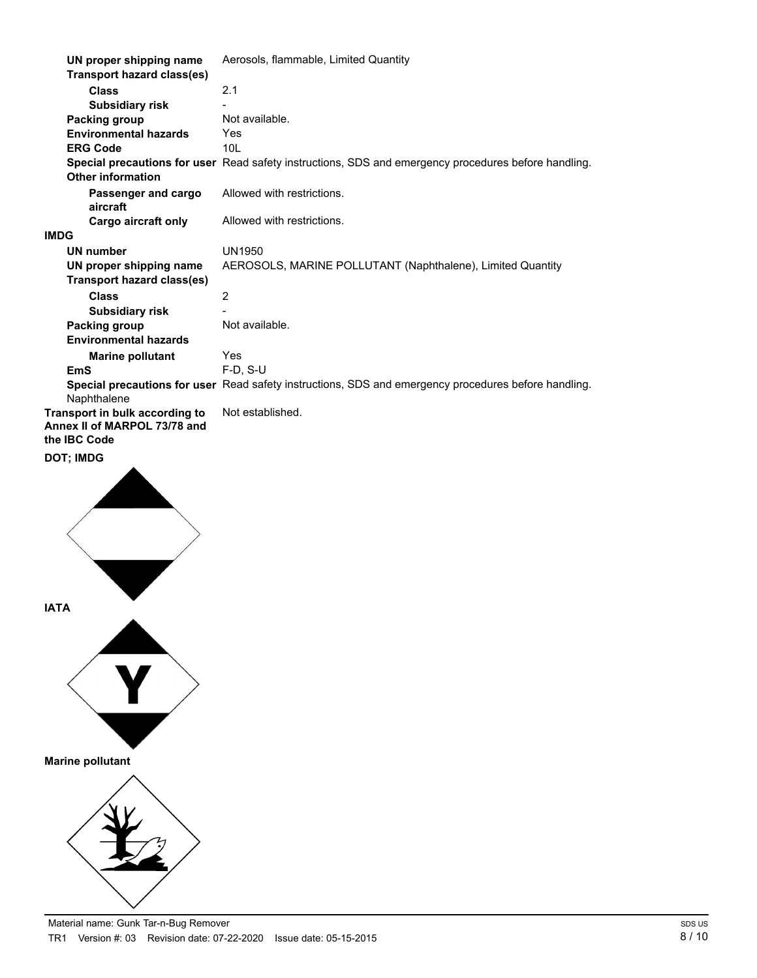| UN proper shipping name                                                        | Aerosols, flammable, Limited Quantity                                                                |
|--------------------------------------------------------------------------------|------------------------------------------------------------------------------------------------------|
| <b>Transport hazard class(es)</b>                                              |                                                                                                      |
| <b>Class</b>                                                                   | 2.1                                                                                                  |
| <b>Subsidiary risk</b>                                                         |                                                                                                      |
| Packing group                                                                  | Not available.                                                                                       |
| <b>Environmental hazards</b>                                                   | Yes                                                                                                  |
| <b>ERG Code</b>                                                                | 10 <sub>L</sub>                                                                                      |
| <b>Other information</b>                                                       | Special precautions for user Read safety instructions, SDS and emergency procedures before handling. |
| Passenger and cargo<br>aircraft                                                | Allowed with restrictions.                                                                           |
| <b>Cargo aircraft only</b>                                                     | Allowed with restrictions.                                                                           |
| IMDG                                                                           |                                                                                                      |
| <b>UN number</b>                                                               | <b>UN1950</b>                                                                                        |
| UN proper shipping name<br><b>Transport hazard class(es)</b>                   | AEROSOLS, MARINE POLLUTANT (Naphthalene), Limited Quantity                                           |
| <b>Class</b>                                                                   | $\overline{2}$                                                                                       |
| <b>Subsidiary risk</b>                                                         |                                                                                                      |
| Packing group                                                                  | Not available.                                                                                       |
| <b>Environmental hazards</b>                                                   |                                                                                                      |
| <b>Marine pollutant</b>                                                        | Yes                                                                                                  |
| <b>EmS</b>                                                                     | $F-D$ , S-U                                                                                          |
| Naphthalene                                                                    | Special precautions for user Read safety instructions, SDS and emergency procedures before handling. |
| Transport in bulk according to<br>Annex II of MARPOL 73/78 and<br>the IBC Code | Not established.                                                                                     |
| DOT; IMDG                                                                      |                                                                                                      |
|                                                                                |                                                                                                      |



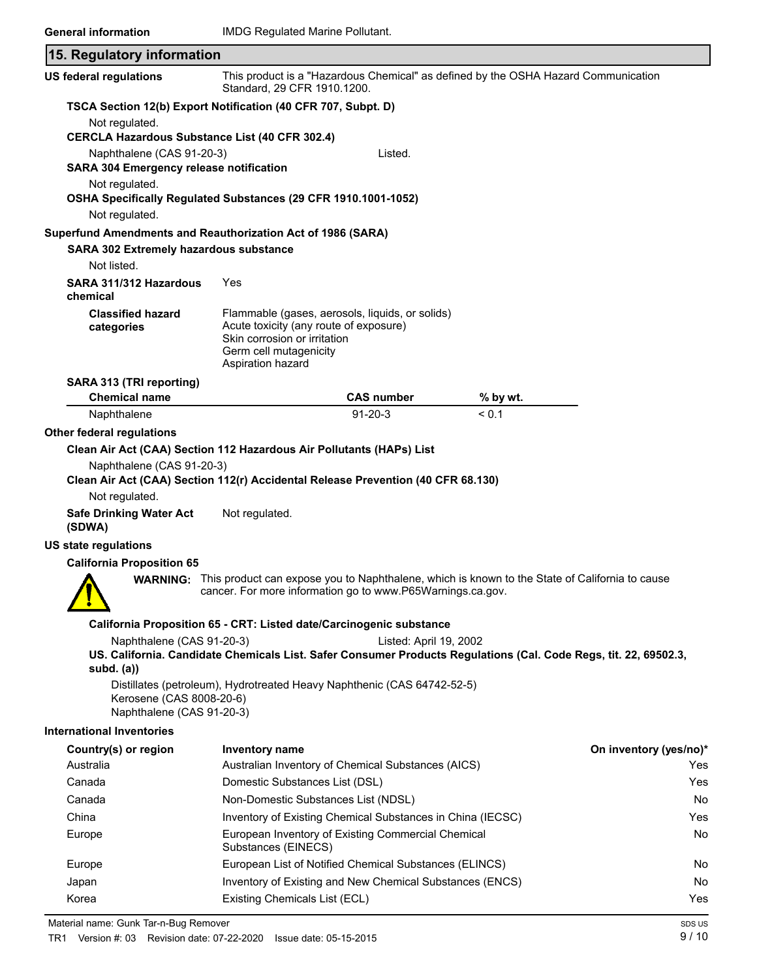| 15. Regulatory information                                                                                    |                                                                                                                       |                                                                                                                                                                              |            |                                                                                                                  |
|---------------------------------------------------------------------------------------------------------------|-----------------------------------------------------------------------------------------------------------------------|------------------------------------------------------------------------------------------------------------------------------------------------------------------------------|------------|------------------------------------------------------------------------------------------------------------------|
| <b>US federal regulations</b>                                                                                 | Standard, 29 CFR 1910.1200.                                                                                           | This product is a "Hazardous Chemical" as defined by the OSHA Hazard Communication                                                                                           |            |                                                                                                                  |
| TSCA Section 12(b) Export Notification (40 CFR 707, Subpt. D)                                                 |                                                                                                                       |                                                                                                                                                                              |            |                                                                                                                  |
| Not regulated.                                                                                                |                                                                                                                       |                                                                                                                                                                              |            |                                                                                                                  |
| <b>CERCLA Hazardous Substance List (40 CFR 302.4)</b>                                                         |                                                                                                                       |                                                                                                                                                                              |            |                                                                                                                  |
| Naphthalene (CAS 91-20-3)<br><b>SARA 304 Emergency release notification</b>                                   |                                                                                                                       | Listed.                                                                                                                                                                      |            |                                                                                                                  |
| Not regulated.<br>OSHA Specifically Regulated Substances (29 CFR 1910.1001-1052)                              |                                                                                                                       |                                                                                                                                                                              |            |                                                                                                                  |
| Not regulated.                                                                                                |                                                                                                                       |                                                                                                                                                                              |            |                                                                                                                  |
| Superfund Amendments and Reauthorization Act of 1986 (SARA)<br>SARA 302 Extremely hazardous substance         |                                                                                                                       |                                                                                                                                                                              |            |                                                                                                                  |
| Not listed.                                                                                                   |                                                                                                                       |                                                                                                                                                                              |            |                                                                                                                  |
| SARA 311/312 Hazardous<br>chemical                                                                            | Yes                                                                                                                   |                                                                                                                                                                              |            |                                                                                                                  |
| <b>Classified hazard</b><br>categories                                                                        | Acute toxicity (any route of exposure)<br>Skin corrosion or irritation<br>Germ cell mutagenicity<br>Aspiration hazard | Flammable (gases, aerosols, liquids, or solids)                                                                                                                              |            |                                                                                                                  |
| SARA 313 (TRI reporting)                                                                                      |                                                                                                                       |                                                                                                                                                                              |            |                                                                                                                  |
| <b>Chemical name</b>                                                                                          |                                                                                                                       | <b>CAS number</b>                                                                                                                                                            | % by wt.   |                                                                                                                  |
| Naphthalene                                                                                                   |                                                                                                                       | $91 - 20 - 3$                                                                                                                                                                | ${}_{0.1}$ |                                                                                                                  |
| Other federal regulations                                                                                     |                                                                                                                       |                                                                                                                                                                              |            |                                                                                                                  |
| Clean Air Act (CAA) Section 112 Hazardous Air Pollutants (HAPs) List                                          |                                                                                                                       |                                                                                                                                                                              |            |                                                                                                                  |
| Naphthalene (CAS 91-20-3)<br>Clean Air Act (CAA) Section 112(r) Accidental Release Prevention (40 CFR 68.130) |                                                                                                                       |                                                                                                                                                                              |            |                                                                                                                  |
| Not regulated.                                                                                                |                                                                                                                       |                                                                                                                                                                              |            |                                                                                                                  |
| <b>Safe Drinking Water Act</b><br>(SDWA)                                                                      | Not regulated.                                                                                                        |                                                                                                                                                                              |            |                                                                                                                  |
| <b>US state regulations</b>                                                                                   |                                                                                                                       |                                                                                                                                                                              |            |                                                                                                                  |
| <b>California Proposition 65</b>                                                                              |                                                                                                                       |                                                                                                                                                                              |            |                                                                                                                  |
| $\bullet$ $\bullet$                                                                                           |                                                                                                                       | <b>WARNING:</b> This product can expose you to Naphthalene, which is known to the State of California to cause<br>cancer. For more information go to www.P65Warnings.ca.gov. |            |                                                                                                                  |
|                                                                                                               |                                                                                                                       | California Proposition 65 - CRT: Listed date/Carcinogenic substance                                                                                                          |            |                                                                                                                  |
| Naphthalene (CAS 91-20-3)                                                                                     |                                                                                                                       | Listed: April 19, 2002                                                                                                                                                       |            |                                                                                                                  |
| subd. $(a)$                                                                                                   |                                                                                                                       |                                                                                                                                                                              |            | US. California. Candidate Chemicals List. Safer Consumer Products Regulations (Cal. Code Regs, tit. 22, 69502.3, |
| Kerosene (CAS 8008-20-6)<br>Naphthalene (CAS 91-20-3)                                                         |                                                                                                                       | Distillates (petroleum), Hydrotreated Heavy Naphthenic (CAS 64742-52-5)                                                                                                      |            |                                                                                                                  |
| <b>International Inventories</b>                                                                              |                                                                                                                       |                                                                                                                                                                              |            |                                                                                                                  |
| Country(s) or region                                                                                          | <b>Inventory name</b>                                                                                                 |                                                                                                                                                                              |            | On inventory (yes/no)*                                                                                           |
| Australia                                                                                                     |                                                                                                                       | Australian Inventory of Chemical Substances (AICS)                                                                                                                           |            | Yes                                                                                                              |
| Canada                                                                                                        | Domestic Substances List (DSL)                                                                                        |                                                                                                                                                                              |            | Yes                                                                                                              |
| Canada                                                                                                        | Non-Domestic Substances List (NDSL)                                                                                   |                                                                                                                                                                              |            | No                                                                                                               |
| China                                                                                                         |                                                                                                                       | Inventory of Existing Chemical Substances in China (IECSC)                                                                                                                   |            | Yes                                                                                                              |
| Europe                                                                                                        | Substances (EINECS)                                                                                                   | European Inventory of Existing Commercial Chemical                                                                                                                           |            | No                                                                                                               |
| Europe                                                                                                        |                                                                                                                       | European List of Notified Chemical Substances (ELINCS)                                                                                                                       |            | No                                                                                                               |
| Japan                                                                                                         |                                                                                                                       | Inventory of Existing and New Chemical Substances (ENCS)                                                                                                                     |            | No                                                                                                               |
| Korea                                                                                                         | Existing Chemicals List (ECL)                                                                                         |                                                                                                                                                                              |            | Yes                                                                                                              |